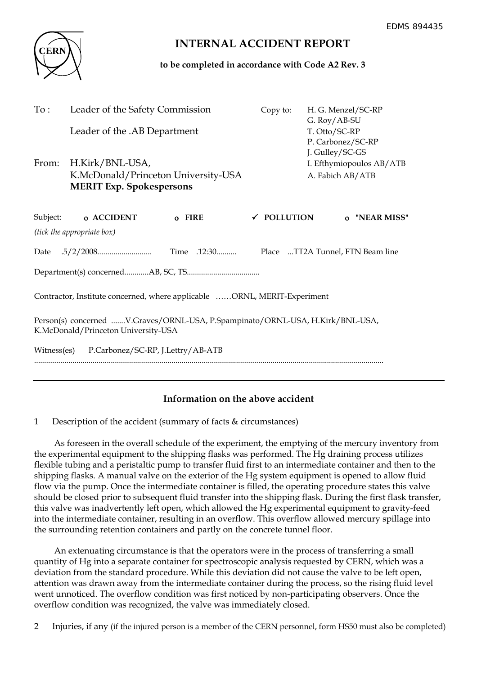

# **INTERNAL ACCIDENT REPORT**

**to be completed in accordance with Code A2 Rev. 3**

| To:                                                                                                                  | Leader of the Safety Commission<br>Leader of the .AB Department                           |             | Copy to:               | H. G. Menzel/SC-RP<br>G. Roy/AB-SU<br>T. Otto/SC-RP                                  |  |
|----------------------------------------------------------------------------------------------------------------------|-------------------------------------------------------------------------------------------|-------------|------------------------|--------------------------------------------------------------------------------------|--|
| From:                                                                                                                | H.Kirk/BNL-USA,<br>K.McDonald/Princeton University-USA<br><b>MERIT Exp. Spokespersons</b> |             |                        | P. Carbonez/SC-RP<br>J. Gulley/SC-GS<br>I. Efthymiopoulos AB/ATB<br>A. Fabich AB/ATB |  |
| Subject:                                                                                                             | o ACCIDENT                                                                                | o FIRE      | $\checkmark$ POLLUTION | o "NEAR MISS"                                                                        |  |
| (tick the appropriate box)                                                                                           |                                                                                           |             |                        |                                                                                      |  |
|                                                                                                                      |                                                                                           | Time .12:30 |                        | Place TT2A Tunnel, FTN Beam line                                                     |  |
|                                                                                                                      |                                                                                           |             |                        |                                                                                      |  |
| Contractor, Institute concerned, where applicable ORNL, MERIT-Experiment                                             |                                                                                           |             |                        |                                                                                      |  |
| Person(s) concerned V.Graves/ORNL-USA, P.Spampinato/ORNL-USA, H.Kirk/BNL-USA,<br>K.McDonald/Princeton University-USA |                                                                                           |             |                        |                                                                                      |  |
| P.Carbonez/SC-RP, J.Lettry/AB-ATB<br>Witness(es)                                                                     |                                                                                           |             |                        |                                                                                      |  |
|                                                                                                                      |                                                                                           |             |                        |                                                                                      |  |

## **Information on the above accident**

1 Description of the accident (summary of facts & circumstances)

 As foreseen in the overall schedule of the experiment, the emptying of the mercury inventory from the experimental equipment to the shipping flasks was performed. The Hg draining process utilizes flexible tubing and a peristaltic pump to transfer fluid first to an intermediate container and then to the shipping flasks. A manual valve on the exterior of the Hg system equipment is opened to allow fluid flow via the pump. Once the intermediate container is filled, the operating procedure states this valve should be closed prior to subsequent fluid transfer into the shipping flask. During the first flask transfer, this valve was inadvertently left open, which allowed the Hg experimental equipment to gravity-feed into the intermediate container, resulting in an overflow. This overflow allowed mercury spillage into the surrounding retention containers and partly on the concrete tunnel floor.

 An extenuating circumstance is that the operators were in the process of transferring a small quantity of Hg into a separate container for spectroscopic analysis requested by CERN, which was a deviation from the standard procedure. While this deviation did not cause the valve to be left open, attention was drawn away from the intermediate container during the process, so the rising fluid level went unnoticed. The overflow condition was first noticed by non-participating observers. Once the overflow condition was recognized, the valve was immediately closed.

2 Injuries, if any (if the injured person is a member of the CERN personnel, form HS50 must also be completed)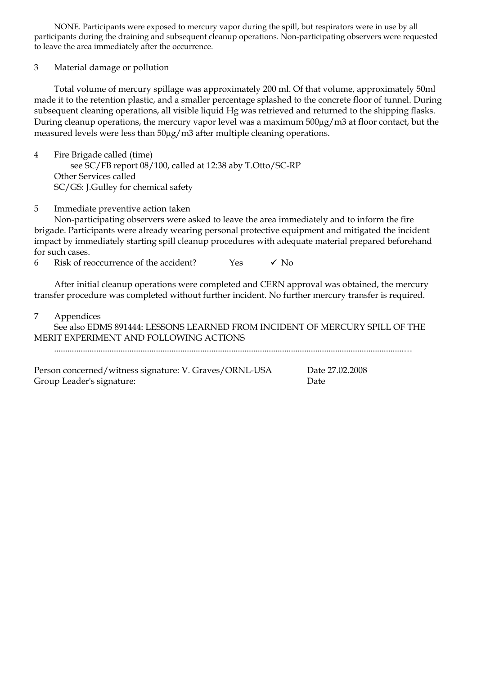NONE. Participants were exposed to mercury vapor during the spill, but respirators were in use by all participants during the draining and subsequent cleanup operations. Non-participating observers were requested to leave the area immediately after the occurrence.

3 Material damage or pollution

 Total volume of mercury spillage was approximately 200 ml. Of that volume, approximately 50ml made it to the retention plastic, and a smaller percentage splashed to the concrete floor of tunnel. During subsequent cleaning operations, all visible liquid Hg was retrieved and returned to the shipping flasks. During cleanup operations, the mercury vapor level was a maximum 500µg/m3 at floor contact, but the measured levels were less than  $50\mu g/m3$  after multiple cleaning operations.

4 Fire Brigade called (time) see SC/FB report 08/100, called at 12:38 aby T.Otto/SC-RP Other Services called SC/GS: J.Gulley for chemical safety

### 5 Immediate preventive action taken

 Non-participating observers were asked to leave the area immediately and to inform the fire brigade. Participants were already wearing personal protective equipment and mitigated the incident impact by immediately starting spill cleanup procedures with adequate material prepared beforehand for such cases.

6 Risk of reoccurrence of the accident?  $Y$ es  $\checkmark$  No

 After initial cleanup operations were completed and CERN approval was obtained, the mercury transfer procedure was completed without further incident. No further mercury transfer is required.

7 Appendices

 See also EDMS 891444: LESSONS LEARNED FROM INCIDENT OF MERCURY SPILL OF THE MERIT EXPERIMENT AND FOLLOWING ACTIONS

..............................................................................................................................................................…

Person concerned/witness signature: V. Graves/ORNL-USA Date 27.02.2008 Group Leader's signature: Date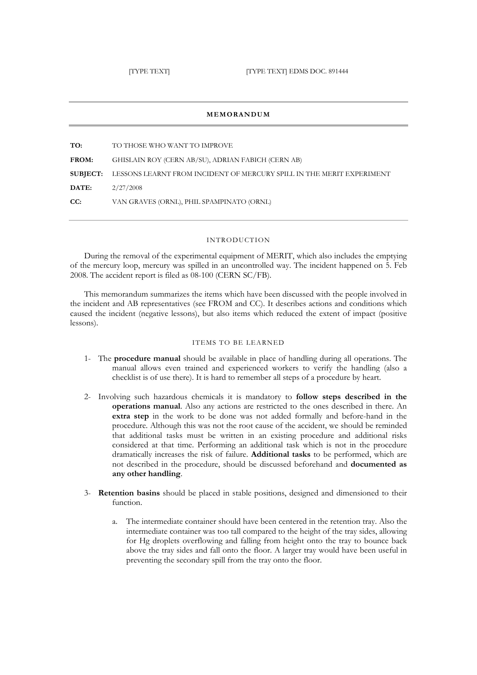#### **MEMORANDUM**

**TO:** TO THOSE WHO WANT TO IMPROVE **FROM:** GHISLAIN ROY (CERN AB/SU), ADRIAN FABICH (CERN AB) **SUBJECT:** LESSONS LEARNT FROM INCIDENT OF MERCURY SPILL IN THE MERIT EXPERIMENT **DATE:** 2/27/2008 **CC:** VAN GRAVES (ORNL), PHIL SPAMPINATO (ORNL)

#### INTRODUCTION

During the removal of the experimental equipment of MERIT, which also includes the emptying of the mercury loop, mercury was spilled in an uncontrolled way. The incident happened on 5. Feb 2008. The accident report is filed as 08-100 (CERN SC/FB).

This memorandum summarizes the items which have been discussed with the people involved in the incident and AB representatives (see FROM and CC). It describes actions and conditions which caused the incident (negative lessons), but also items which reduced the extent of impact (positive lessons).

#### ITEMS TO BE LEARNED

- 1- The **procedure manual** should be available in place of handling during all operations. The manual allows even trained and experienced workers to verify the handling (also a checklist is of use there). It is hard to remember all steps of a procedure by heart.
- 2- Involving such hazardous chemicals it is mandatory to **follow steps described in the operations manual**. Also any actions are restricted to the ones described in there. An **extra step** in the work to be done was not added formally and before-hand in the procedure. Although this was not the root cause of the accident, we should be reminded that additional tasks must be written in an existing procedure and additional risks considered at that time. Performing an additional task which is not in the procedure dramatically increases the risk of failure. **Additional tasks** to be performed, which are not described in the procedure, should be discussed beforehand and **documented as any other handling**.
- 3- **Retention basins** should be placed in stable positions, designed and dimensioned to their function.
	- a. The intermediate container should have been centered in the retention tray. Also the intermediate container was too tall compared to the height of the tray sides, allowing for Hg droplets overflowing and falling from height onto the tray to bounce back above the tray sides and fall onto the floor. A larger tray would have been useful in preventing the secondary spill from the tray onto the floor.